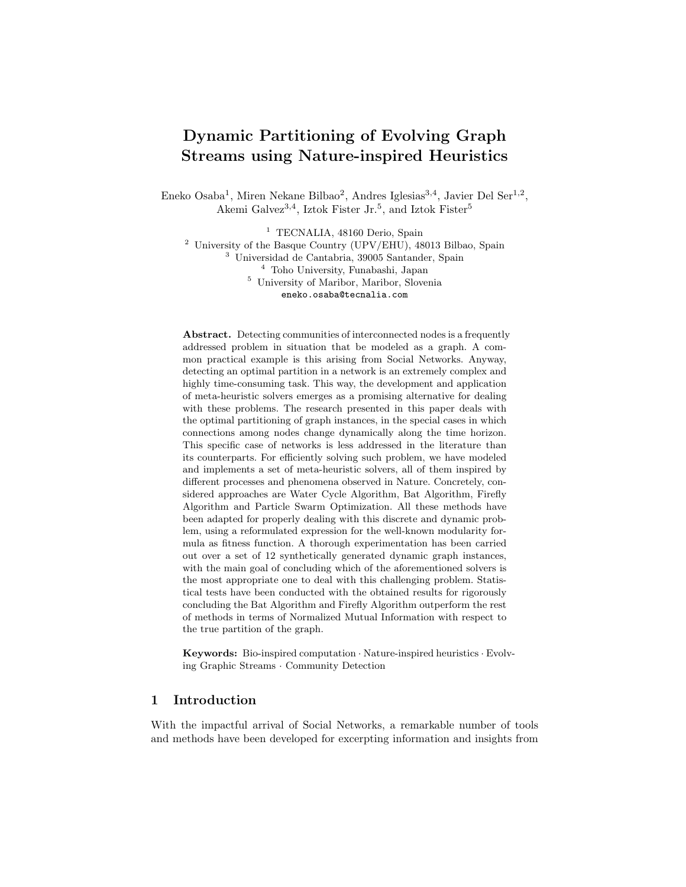# Dynamic Partitioning of Evolving Graph Streams using Nature-inspired Heuristics

Eneko Osaba<sup>1</sup>, Miren Nekane Bilbao<sup>2</sup>, Andres Iglesias<sup>3,4</sup>, Javier Del Ser<sup>1,2</sup>, Akemi Galvez<sup>3,4</sup>, Iztok Fister Jr.<sup>5</sup>, and Iztok Fister<sup>5</sup>

<sup>1</sup> TECNALIA, 48160 Derio, Spain

 University of the Basque Country (UPV/EHU), 48013 Bilbao, Spain Universidad de Cantabria, 39005 Santander, Spain Toho University, Funabashi, Japan University of Maribor, Maribor, Slovenia eneko.osaba@tecnalia.com

Abstract. Detecting communities of interconnected nodes is a frequently addressed problem in situation that be modeled as a graph. A common practical example is this arising from Social Networks. Anyway, detecting an optimal partition in a network is an extremely complex and highly time-consuming task. This way, the development and application of meta-heuristic solvers emerges as a promising alternative for dealing with these problems. The research presented in this paper deals with the optimal partitioning of graph instances, in the special cases in which connections among nodes change dynamically along the time horizon. This specific case of networks is less addressed in the literature than its counterparts. For efficiently solving such problem, we have modeled and implements a set of meta-heuristic solvers, all of them inspired by different processes and phenomena observed in Nature. Concretely, considered approaches are Water Cycle Algorithm, Bat Algorithm, Firefly Algorithm and Particle Swarm Optimization. All these methods have been adapted for properly dealing with this discrete and dynamic problem, using a reformulated expression for the well-known modularity formula as fitness function. A thorough experimentation has been carried out over a set of 12 synthetically generated dynamic graph instances, with the main goal of concluding which of the aforementioned solvers is the most appropriate one to deal with this challenging problem. Statistical tests have been conducted with the obtained results for rigorously concluding the Bat Algorithm and Firefly Algorithm outperform the rest of methods in terms of Normalized Mutual Information with respect to the true partition of the graph.

Keywords: Bio-inspired computation · Nature-inspired heuristics · Evolving Graphic Streams · Community Detection

## 1 Introduction

With the impactful arrival of Social Networks, a remarkable number of tools and methods have been developed for excerpting information and insights from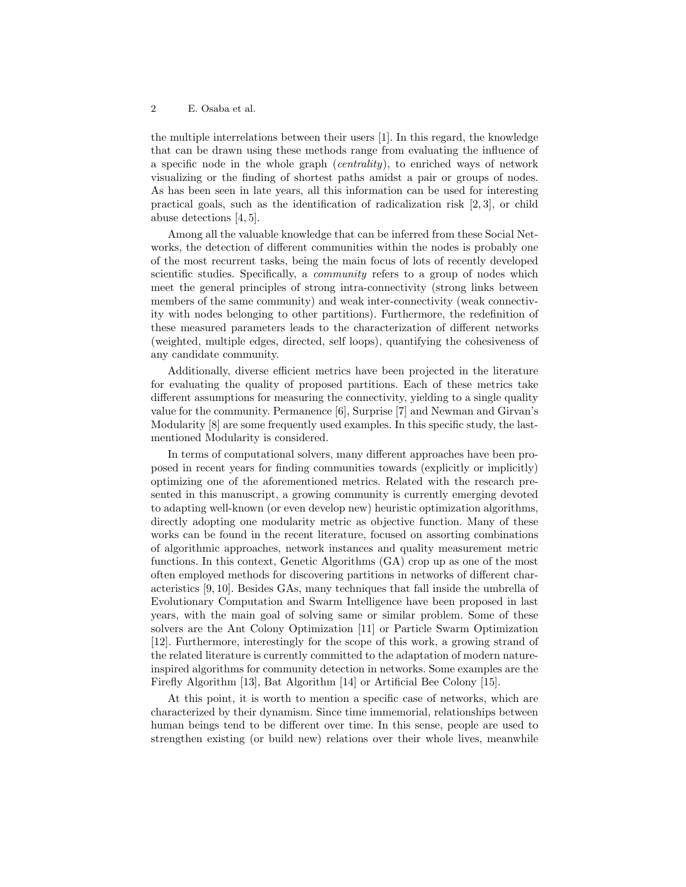the multiple interrelations between their users [1]. In this regard, the knowledge that can be drawn using these methods range from evaluating the influence of a specific node in the whole graph (centrality), to enriched ways of network visualizing or the finding of shortest paths amidst a pair or groups of nodes. As has been seen in late years, all this information can be used for interesting practical goals, such as the identification of radicalization risk [2, 3], or child abuse detections [4, 5].

Among all the valuable knowledge that can be inferred from these Social Networks, the detection of different communities within the nodes is probably one of the most recurrent tasks, being the main focus of lots of recently developed scientific studies. Specifically, a community refers to a group of nodes which meet the general principles of strong intra-connectivity (strong links between members of the same community) and weak inter-connectivity (weak connectivity with nodes belonging to other partitions). Furthermore, the redefinition of these measured parameters leads to the characterization of different networks (weighted, multiple edges, directed, self loops), quantifying the cohesiveness of any candidate community.

Additionally, diverse efficient metrics have been projected in the literature for evaluating the quality of proposed partitions. Each of these metrics take different assumptions for measuring the connectivity, yielding to a single quality value for the community. Permanence [6], Surprise [7] and Newman and Girvan's Modularity [8] are some frequently used examples. In this specific study, the lastmentioned Modularity is considered.

In terms of computational solvers, many different approaches have been proposed in recent years for finding communities towards (explicitly or implicitly) optimizing one of the aforementioned metrics. Related with the research presented in this manuscript, a growing community is currently emerging devoted to adapting well-known (or even develop new) heuristic optimization algorithms, directly adopting one modularity metric as objective function. Many of these works can be found in the recent literature, focused on assorting combinations of algorithmic approaches, network instances and quality measurement metric functions. In this context, Genetic Algorithms (GA) crop up as one of the most often employed methods for discovering partitions in networks of different characteristics [9, 10]. Besides GAs, many techniques that fall inside the umbrella of Evolutionary Computation and Swarm Intelligence have been proposed in last years, with the main goal of solving same or similar problem. Some of these solvers are the Ant Colony Optimization [11] or Particle Swarm Optimization [12]. Furthermore, interestingly for the scope of this work, a growing strand of the related literature is currently committed to the adaptation of modern natureinspired algorithms for community detection in networks. Some examples are the Firefly Algorithm [13], Bat Algorithm [14] or Artificial Bee Colony [15].

At this point, it is worth to mention a specific case of networks, which are characterized by their dynamism. Since time immemorial, relationships between human beings tend to be different over time. In this sense, people are used to strengthen existing (or build new) relations over their whole lives, meanwhile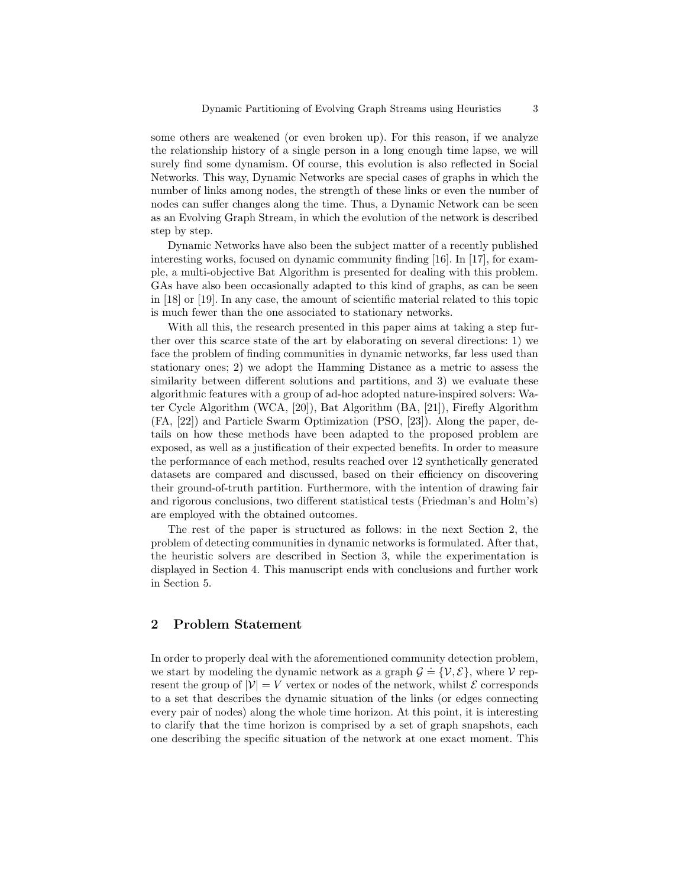some others are weakened (or even broken up). For this reason, if we analyze the relationship history of a single person in a long enough time lapse, we will surely find some dynamism. Of course, this evolution is also reflected in Social Networks. This way, Dynamic Networks are special cases of graphs in which the number of links among nodes, the strength of these links or even the number of nodes can suffer changes along the time. Thus, a Dynamic Network can be seen as an Evolving Graph Stream, in which the evolution of the network is described step by step.

Dynamic Networks have also been the subject matter of a recently published interesting works, focused on dynamic community finding [16]. In [17], for example, a multi-objective Bat Algorithm is presented for dealing with this problem. GAs have also been occasionally adapted to this kind of graphs, as can be seen in [18] or [19]. In any case, the amount of scientific material related to this topic is much fewer than the one associated to stationary networks.

With all this, the research presented in this paper aims at taking a step further over this scarce state of the art by elaborating on several directions: 1) we face the problem of finding communities in dynamic networks, far less used than stationary ones; 2) we adopt the Hamming Distance as a metric to assess the similarity between different solutions and partitions, and 3) we evaluate these algorithmic features with a group of ad-hoc adopted nature-inspired solvers: Water Cycle Algorithm (WCA, [20]), Bat Algorithm (BA, [21]), Firefly Algorithm (FA, [22]) and Particle Swarm Optimization (PSO, [23]). Along the paper, details on how these methods have been adapted to the proposed problem are exposed, as well as a justification of their expected benefits. In order to measure the performance of each method, results reached over 12 synthetically generated datasets are compared and discussed, based on their efficiency on discovering their ground-of-truth partition. Furthermore, with the intention of drawing fair and rigorous conclusions, two different statistical tests (Friedman's and Holm's) are employed with the obtained outcomes.

The rest of the paper is structured as follows: in the next Section 2, the problem of detecting communities in dynamic networks is formulated. After that, the heuristic solvers are described in Section 3, while the experimentation is displayed in Section 4. This manuscript ends with conclusions and further work in Section 5.

# 2 Problem Statement

In order to properly deal with the aforementioned community detection problem, we start by modeling the dynamic network as a graph  $\mathcal{G} = \{V, \mathcal{E}\}\$ , where V represent the group of  $|\mathcal{V}| = V$  vertex or nodes of the network, whilst  $\mathcal{E}$  corresponds to a set that describes the dynamic situation of the links (or edges connecting every pair of nodes) along the whole time horizon. At this point, it is interesting to clarify that the time horizon is comprised by a set of graph snapshots, each one describing the specific situation of the network at one exact moment. This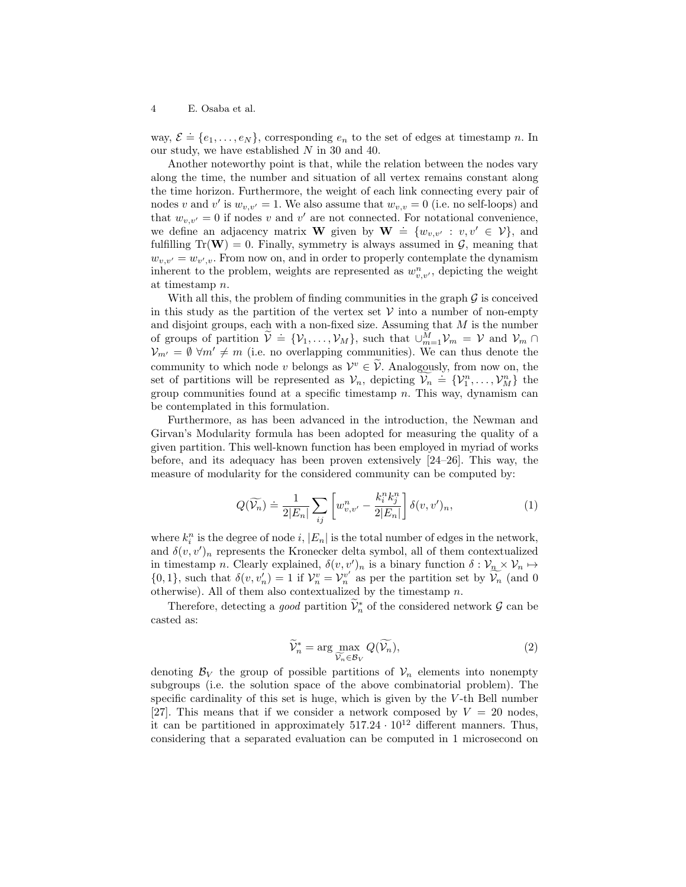way,  $\mathcal{E} \doteq \{e_1, \ldots, e_N\}$ , corresponding  $e_n$  to the set of edges at timestamp n. In our study, we have established N in 30 and 40.

Another noteworthy point is that, while the relation between the nodes vary along the time, the number and situation of all vertex remains constant along the time horizon. Furthermore, the weight of each link connecting every pair of nodes v and v' is  $w_{v,v'} = 1$ . We also assume that  $w_{v,v} = 0$  (i.e. no self-loops) and that  $w_{v,v'} = 0$  if nodes v and v' are not connected. For notational convenience, we define an adjacency matrix **W** given by  $\mathbf{W} \doteq \{w_{v,v'} : v, v' \in \mathcal{V}\}\$ , and fulfilling  $Tr(\mathbf{W}) = 0$ . Finally, symmetry is always assumed in  $\mathcal{G}$ , meaning that  $w_{v,v'} = w_{v',v}$ . From now on, and in order to properly contemplate the dynamism inherent to the problem, weights are represented as  $w_{v,v'}^n$ , depicting the weight at timestamp n.

With all this, the problem of finding communities in the graph  $\mathcal G$  is conceived in this study as the partition of the vertex set  $\mathcal V$  into a number of non-empty and disjoint groups, each with a non-fixed size. Assuming that  $M$  is the number of groups of partition  $\tilde{V} = \{V_1, \ldots, V_M\}$ , such that  $\cup_{m=1}^M V_m = V$  and  $V_m \cap$  $\mathcal{V}_{m'} = \emptyset \ \forall m' \neq m$  (i.e. no overlapping communities). We can thus denote the community to which node v belongs as  $\mathcal{V}^v \in \tilde{\mathcal{V}}$ . Analogously, from now on, the set of partitions will be represented as  $\mathcal{V}_n$ , depicting  $\widetilde{\mathcal{V}}_n = \{V_1^n, \ldots, V_M^n\}$  the group communities found at a specific timestamp  $n$ . This way, dynamism can be contemplated in this formulation.

Furthermore, as has been advanced in the introduction, the Newman and Girvan's Modularity formula has been adopted for measuring the quality of a given partition. This well-known function has been employed in myriad of works before, and its adequacy has been proven extensively [24–26]. This way, the measure of modularity for the considered community can be computed by:

$$
Q(\widetilde{\mathcal{V}_n}) \doteq \frac{1}{2|E_n|} \sum_{ij} \left[ w_{v,v'}^n - \frac{k_i^n k_j^n}{2|E_n|} \right] \delta(v,v')_n, \tag{1}
$$

where  $k_i^n$  is the degree of node  $i, |E_n|$  is the total number of edges in the network, and  $\delta(v, v')_n$  represents the Kronecker delta symbol, all of them contextualized in timestamp n. Clearly explained,  $\delta(v, v')_n$  is a binary function  $\delta : \mathcal{V}_n \times \mathcal{V}_n \mapsto$  $\{0, 1\}$ , such that  $\delta(v, v'_n) = 1$  if  $\mathcal{V}_n^v = \mathcal{V}_n^{v'}$  as per the partition set by  $\widetilde{\mathcal{V}_n}$  (and 0) otherwise). All of them also contextualized by the timestamp  $n$ .

Therefore, detecting a *good* partition  $\widetilde{\mathcal{V}}_n^*$  of the considered network  $\mathcal G$  can be casted as:

$$
\widetilde{\mathcal{V}}_n^* = \arg \max_{\widetilde{\mathcal{V}_n} \in \mathcal{B}_V} Q(\widetilde{\mathcal{V}_n}), \tag{2}
$$

denoting  $\mathcal{B}_V$  the group of possible partitions of  $\mathcal{V}_n$  elements into nonempty subgroups (i.e. the solution space of the above combinatorial problem). The specific cardinality of this set is huge, which is given by the V-th Bell number [27]. This means that if we consider a network composed by  $V = 20$  nodes, it can be partitioned in approximately  $517.24 \cdot 10^{12}$  different manners. Thus, considering that a separated evaluation can be computed in 1 microsecond on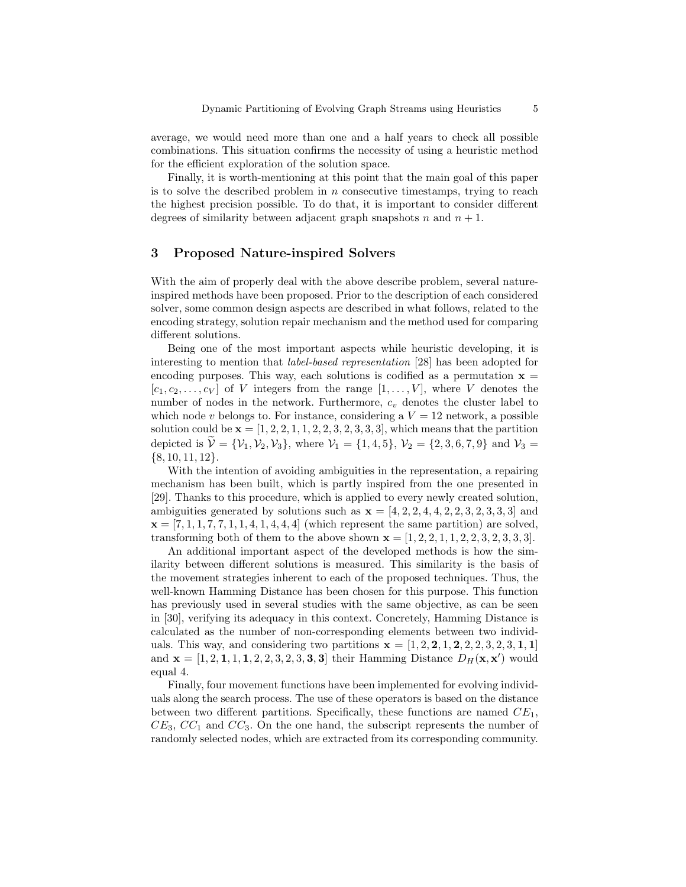average, we would need more than one and a half years to check all possible combinations. This situation confirms the necessity of using a heuristic method for the efficient exploration of the solution space.

Finally, it is worth-mentioning at this point that the main goal of this paper is to solve the described problem in  $n$  consecutive timestamps, trying to reach the highest precision possible. To do that, it is important to consider different degrees of similarity between adjacent graph snapshots n and  $n + 1$ .

## 3 Proposed Nature-inspired Solvers

With the aim of properly deal with the above describe problem, several natureinspired methods have been proposed. Prior to the description of each considered solver, some common design aspects are described in what follows, related to the encoding strategy, solution repair mechanism and the method used for comparing different solutions.

Being one of the most important aspects while heuristic developing, it is interesting to mention that label-based representation [28] has been adopted for encoding purposes. This way, each solutions is codified as a permutation  $x =$  $[c_1, c_2, \ldots, c_V]$  of V integers from the range  $[1, \ldots, V]$ , where V denotes the number of nodes in the network. Furthermore,  $c_v$  denotes the cluster label to which node v belongs to. For instance, considering a  $V = 12$  network, a possible solution could be  $\mathbf{x} = \begin{bmatrix} 1, 2, 2, 1, 1, 2, 2, 3, 2, 3, 3, 3 \end{bmatrix}$ , which means that the partition depicted is  $\mathcal{V} = {\mathcal{V}_1, \mathcal{V}_2, \mathcal{V}_3}$ , where  $\mathcal{V}_1 = {\mathcal{1, 4, 5}}$ ,  $\mathcal{V}_2 = {\mathcal{2, 3, 6, 7, 9}}$  and  $\mathcal{V}_3 =$  $\{8, 10, 11, 12\}.$ 

With the intention of avoiding ambiguities in the representation, a repairing mechanism has been built, which is partly inspired from the one presented in [29]. Thanks to this procedure, which is applied to every newly created solution, ambiguities generated by solutions such as  $x = [4, 2, 2, 4, 4, 2, 2, 3, 2, 3, 3, 3]$  and  ${\bf x} = [7, 1, 1, 7, 7, 1, 1, 4, 1, 4, 4, 4]$  (which represent the same partition) are solved, transforming both of them to the above shown  $x = [1, 2, 2, 1, 1, 2, 2, 3, 2, 3, 3, 3].$ 

An additional important aspect of the developed methods is how the similarity between different solutions is measured. This similarity is the basis of the movement strategies inherent to each of the proposed techniques. Thus, the well-known Hamming Distance has been chosen for this purpose. This function has previously used in several studies with the same objective, as can be seen in [30], verifying its adequacy in this context. Concretely, Hamming Distance is calculated as the number of non-corresponding elements between two individuals. This way, and considering two partitions  $\mathbf{x} = [1, 2, 2, 1, 2, 2, 2, 3, 2, 3, 1, 1]$ and  $\mathbf{x} = [1, 2, 1, 1, 1, 2, 2, 3, 2, 3, 3, 3]$  their Hamming Distance  $D_H(\mathbf{x}, \mathbf{x}')$  would equal 4.

Finally, four movement functions have been implemented for evolving individuals along the search process. The use of these operators is based on the distance between two different partitions. Specifically, these functions are named  $CE<sub>1</sub>$ ,  $CE_3$ ,  $CC_1$  and  $CC_3$ . On the one hand, the subscript represents the number of randomly selected nodes, which are extracted from its corresponding community.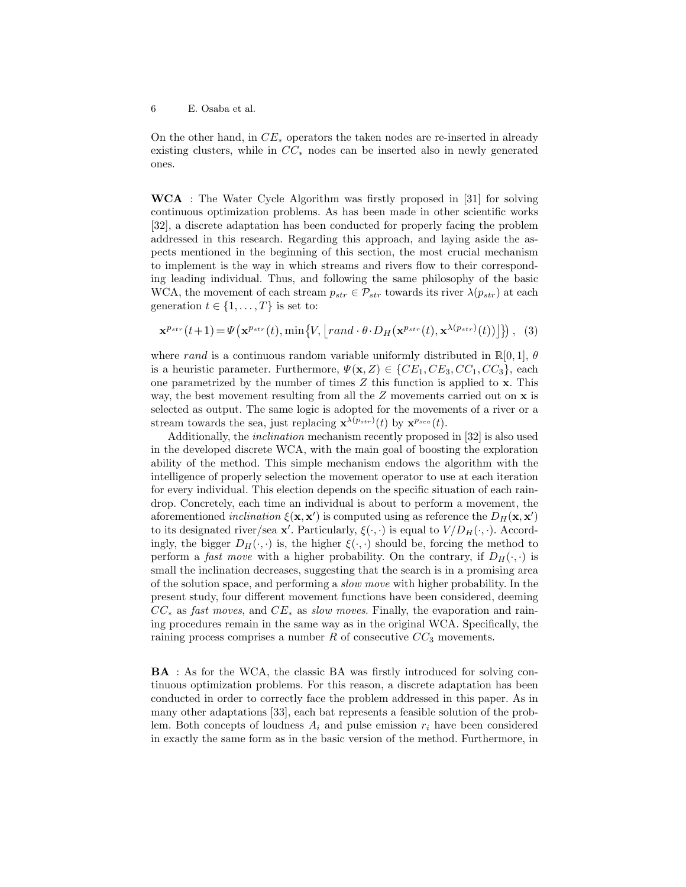On the other hand, in  $CE_*$  operators the taken nodes are re-inserted in already existing clusters, while in  $CC_*$  nodes can be inserted also in newly generated ones.

WCA : The Water Cycle Algorithm was firstly proposed in [31] for solving continuous optimization problems. As has been made in other scientific works [32], a discrete adaptation has been conducted for properly facing the problem addressed in this research. Regarding this approach, and laying aside the aspects mentioned in the beginning of this section, the most crucial mechanism to implement is the way in which streams and rivers flow to their corresponding leading individual. Thus, and following the same philosophy of the basic WCA, the movement of each stream  $p_{str} \in \mathcal{P}_{str}$  towards its river  $\lambda(p_{str})$  at each generation  $t \in \{1, \ldots, T\}$  is set to:

$$
\mathbf{x}^{p_{str}}(t+1) = \Psi\left(\mathbf{x}^{p_{str}}(t), \min\left\{V, \left|rand \cdot \theta \cdot D_H(\mathbf{x}^{p_{str}}(t), \mathbf{x}^{\lambda(p_{str})}(t))\right|\right\}\right), \quad (3)
$$

where rand is a continuous random variable uniformly distributed in  $\mathbb{R}[0,1], \theta$ is a heuristic parameter. Furthermore,  $\Psi(\mathbf{x}, Z) \in \{CE_1, CE_3, CC_1, CC_3\}$ , each one parametrized by the number of times  $Z$  this function is applied to  $x$ . This way, the best movement resulting from all the  $Z$  movements carried out on  $x$  is selected as output. The same logic is adopted for the movements of a river or a stream towards the sea, just replacing  $\mathbf{x}^{\lambda(p_{str})}(t)$  by  $\mathbf{x}^{p_{sea}}(t)$ .

Additionally, the inclination mechanism recently proposed in [32] is also used in the developed discrete WCA, with the main goal of boosting the exploration ability of the method. This simple mechanism endows the algorithm with the intelligence of properly selection the movement operator to use at each iteration for every individual. This election depends on the specific situation of each raindrop. Concretely, each time an individual is about to perform a movement, the aforementioned *inclination*  $\xi(\mathbf{x}, \mathbf{x}')$  is computed using as reference the  $D_H(\mathbf{x}, \mathbf{x}')$ to its designated river/sea **x'**. Particularly,  $\xi(\cdot, \cdot)$  is equal to  $V/D_H(\cdot, \cdot)$ . Accordingly, the bigger  $D_H(\cdot, \cdot)$  is, the higher  $\xi(\cdot, \cdot)$  should be, forcing the method to perform a *fast move* with a higher probability. On the contrary, if  $D_H(\cdot, \cdot)$  is small the inclination decreases, suggesting that the search is in a promising area of the solution space, and performing a slow move with higher probability. In the present study, four different movement functions have been considered, deeming  $CC_*$  as fast moves, and  $CE_*$  as slow moves. Finally, the evaporation and raining procedures remain in the same way as in the original WCA. Specifically, the raining process comprises a number R of consecutive  $CC_3$  movements.

BA : As for the WCA, the classic BA was firstly introduced for solving continuous optimization problems. For this reason, a discrete adaptation has been conducted in order to correctly face the problem addressed in this paper. As in many other adaptations [33], each bat represents a feasible solution of the problem. Both concepts of loudness  $A_i$  and pulse emission  $r_i$  have been considered in exactly the same form as in the basic version of the method. Furthermore, in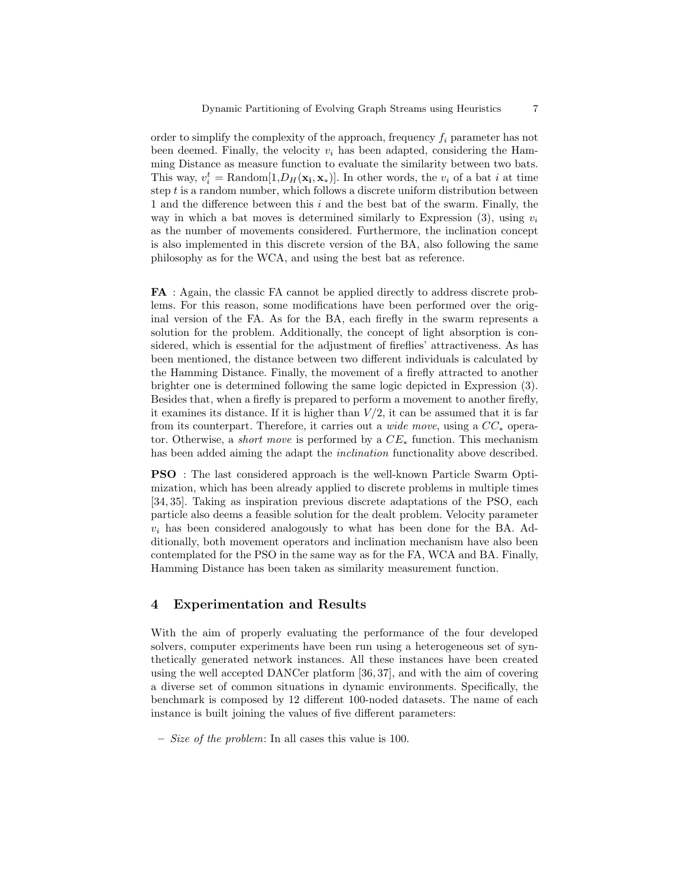order to simplify the complexity of the approach, frequency  $f_i$  parameter has not been deemed. Finally, the velocity  $v_i$  has been adapted, considering the Hamming Distance as measure function to evaluate the similarity between two bats. This way,  $v_i^t = \text{Random}[1, D_H(\mathbf{x_i}, \mathbf{x}_*)]$ . In other words, the  $v_i$  of a bat i at time step  $t$  is a random number, which follows a discrete uniform distribution between 1 and the difference between this i and the best bat of the swarm. Finally, the way in which a bat moves is determined similarly to Expression  $(3)$ , using  $v_i$ as the number of movements considered. Furthermore, the inclination concept is also implemented in this discrete version of the BA, also following the same philosophy as for the WCA, and using the best bat as reference.

FA : Again, the classic FA cannot be applied directly to address discrete problems. For this reason, some modifications have been performed over the original version of the FA. As for the BA, each firefly in the swarm represents a solution for the problem. Additionally, the concept of light absorption is considered, which is essential for the adjustment of fireflies' attractiveness. As has been mentioned, the distance between two different individuals is calculated by the Hamming Distance. Finally, the movement of a firefly attracted to another brighter one is determined following the same logic depicted in Expression (3). Besides that, when a firefly is prepared to perform a movement to another firefly, it examines its distance. If it is higher than  $V/2$ , it can be assumed that it is far from its counterpart. Therefore, it carries out a *wide move*, using a  $CC_*$  operator. Otherwise, a *short move* is performed by a  $CE_*$  function. This mechanism has been added aiming the adapt the inclination functionality above described.

PSO : The last considered approach is the well-known Particle Swarm Optimization, which has been already applied to discrete problems in multiple times [34, 35]. Taking as inspiration previous discrete adaptations of the PSO, each particle also deems a feasible solution for the dealt problem. Velocity parameter  $v_i$  has been considered analogously to what has been done for the BA. Additionally, both movement operators and inclination mechanism have also been contemplated for the PSO in the same way as for the FA, WCA and BA. Finally, Hamming Distance has been taken as similarity measurement function.

## 4 Experimentation and Results

With the aim of properly evaluating the performance of the four developed solvers, computer experiments have been run using a heterogeneous set of synthetically generated network instances. All these instances have been created using the well accepted DANCer platform [36, 37], and with the aim of covering a diverse set of common situations in dynamic environments. Specifically, the benchmark is composed by 12 different 100-noded datasets. The name of each instance is built joining the values of five different parameters:

– Size of the problem: In all cases this value is 100.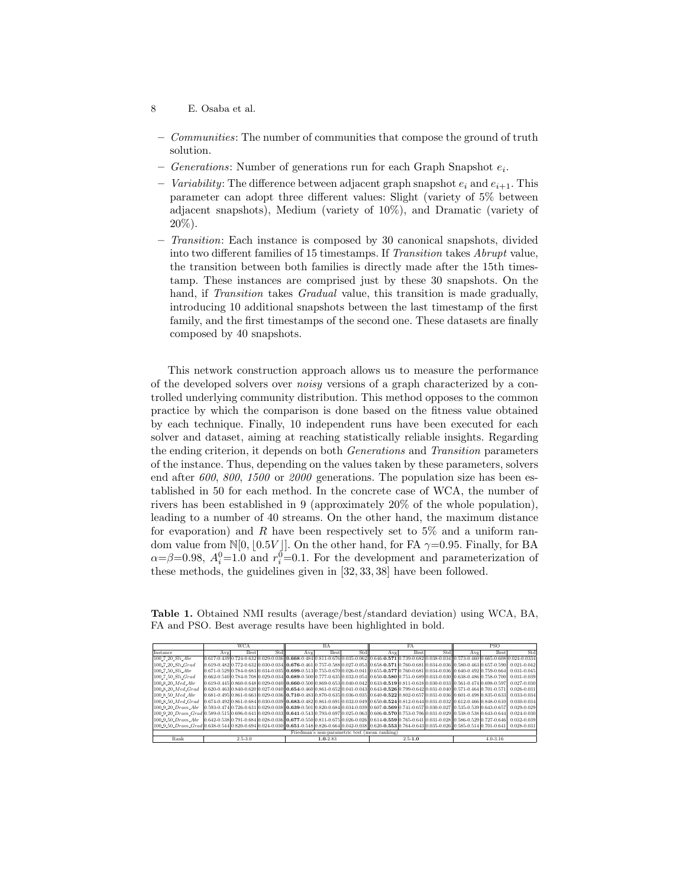- 8 E. Osaba et al.
	- $-$  Communities: The number of communities that compose the ground of truth solution.
	- Generations: Number of generations run for each Graph Snapshot  $e_i$ .
	- Variability: The difference between adjacent graph snapshot  $e_i$  and  $e_{i+1}$ . This parameter can adopt three different values: Slight (variety of 5% between adjacent snapshots), Medium (variety of 10%), and Dramatic (variety of 20%).
	- Transition: Each instance is composed by 30 canonical snapshots, divided into two different families of 15 timestamps. If Transition takes Abrupt value, the transition between both families is directly made after the 15th timestamp. These instances are comprised just by these 30 snapshots. On the hand, if Transition takes Gradual value, this transition is made gradually, introducing 10 additional snapshots between the last timestamp of the first family, and the first timestamps of the second one. These datasets are finally composed by 40 snapshots.

This network construction approach allows us to measure the performance of the developed solvers over noisy versions of a graph characterized by a controlled underlying community distribution. This method opposes to the common practice by which the comparison is done based on the fitness value obtained by each technique. Finally, 10 independent runs have been executed for each solver and dataset, aiming at reaching statistically reliable insights. Regarding the ending criterion, it depends on both Generations and Transition parameters of the instance. Thus, depending on the values taken by these parameters, solvers end after 600, 800, 1500 or 2000 generations. The population size has been established in 50 for each method. In the concrete case of WCA, the number of rivers has been established in 9 (approximately 20% of the whole population), leading to a number of 40 streams. On the other hand, the maximum distance for evaporation) and R have been respectively set to  $5\%$  and a uniform random value from  $\mathbb{N}[0, 0.5V]$ . On the other hand, for FA  $\gamma=0.95$ . Finally, for BA  $\alpha = \beta = 0.98$ ,  $A_i^0 = 1.0$  and  $r_i^0 = 0.1$ . For the development and parameterization of these methods, the guidelines given in [32, 33, 38] have been followed.

Table 1. Obtained NMI results (average/best/standard deviation) using WCA, BA, FA and PSO. Best average results have been highlighted in bold.

|                                                                                                                                                                                        | <b>WCA</b> |      |          | BΑ  |             |             | FΑ                                                                                                                                                                                                                                       |       |              | PSO <sub></sub> |       |                 |
|----------------------------------------------------------------------------------------------------------------------------------------------------------------------------------------|------------|------|----------|-----|-------------|-------------|------------------------------------------------------------------------------------------------------------------------------------------------------------------------------------------------------------------------------------------|-------|--------------|-----------------|-------|-----------------|
| Instance                                                                                                                                                                               | Avg        | Best | Std      | Avg | <b>Best</b> | Stdl        | Avg                                                                                                                                                                                                                                      | Best. | Std          | Avg             | Best. | Std             |
| $100.7.20$ $Sli$ $Abr$                                                                                                                                                                 |            |      |          |     |             |             | l0.617-0.439l0.724-0.632l0.029-0.036l <b>l0.668-</b> 0.484l0.811-0.676l0.035-0.062ll0.646 <b>-0.571</b> l0.739-0.682l0.038-0.034ll0.573-0.460l0.665-0.608l0.024-0.0334                                                                   |       |              |                 |       |                 |
| $100.7.20$ Sli Grad                                                                                                                                                                    |            |      |          |     |             |             | $[0.619 \cdot 0.482] 0.772 \cdot 0.632] 0.030 \cdot 0.034]$ [0.676-0.461 $[0.757 \cdot 0.588] 0.027 \cdot 0.053]$ [0.658-0.571 $[0.760 \cdot 0.681] 0.034 \cdot 0.036]$ [0.580-0.463] $[0.657 \cdot 0.590]$                              |       |              |                 |       | $0.021 - 0.042$ |
| $100.7.50$ $Sli$ $Abr$                                                                                                                                                                 |            |      |          |     |             |             | $[0.671 \cdot 0.529]0.784 \cdot 0.683]0.034 \cdot 0.035]$ [0.699-0.513] $0.755 \cdot 0.670]0.026 \cdot 0.041]0.655 \cdot 0.577$ [0.760-0.681] $[0.034 \cdot 0.036]$ [0.640-0.492] $[0.759 \cdot 0.664]$                                  |       |              |                 |       | $0.031 - 0.045$ |
| $100.7.50$ $Sli$ $Grad$                                                                                                                                                                |            |      |          |     |             |             | l0.662-0.540l0.784-0.708l0.029-0.034ll <b>0.689</b> -0.500l0.777-0.635l0.032-0.054ll0.650- <b>0.580</b> l0.751-0.689l0.033-0.030ll0.638-0.486l0.758-0.700l                                                                               |       |              |                 |       | 0.031-0.039     |
| $100.8.20$ <sub>Med</sub> $Abr$                                                                                                                                                        |            |      |          |     |             |             | $[0.619 \cdot 0.44510.860 \cdot 0.64810.029 \cdot 0.0401]$ 0.660-0.500 $[0.869 \cdot 0.65310.040 \cdot 0.0421]$ 0.633-0.519 $[0.811 \cdot 0.61810.030 \cdot 0.0331]$ 0.561-0.474 $[0.698 \cdot 0.597]$                                   |       |              |                 |       | 0.027-0.030     |
| [100.8.20. Med. Grad]                                                                                                                                                                  |            |      |          |     |             |             | $[0.620 \cdot 0.463] 0.840 \cdot 0.620] 0.027 \cdot 0.040]$ [0.654-0.460] $0.861 \cdot 0.652$ [0.041-0.043] [0.643-0.526 [0.799-0.642] $0.031 \cdot 0.040$ [10.571-0.464] $0.701 \cdot 0.57$                                             |       |              |                 |       | 0.026-0.031     |
| $100.8.50$ <sub>Med</sub> $Abr$                                                                                                                                                        |            |      |          |     |             |             | l0.681-0.495 0.861-0.663 0.029-0.036  0.710-0.483 0.870-0.635 0.036-0.035  0.640-0.522 0.802-0.657 0.031-0.036  0.601-0.498 0.835-0.633                                                                                                  |       |              |                 |       | 0.033-0.034     |
| $100.8.50$ Med Grad                                                                                                                                                                    |            |      |          |     |             |             | $[0.674 - 0.492] \cdot 0.861 - 0.684] \cdot 0.039 - 0.039 \cdot 0.683 - 0.482] \cdot 0.861 - 0.691 \cdot 0.032 - 0.049 \cdot 0.650 - 0.524 \cdot 0.812 - 0.644] \cdot 0.031 - 0.032 \cdot 0.612 - 0.466 \cdot 0.848 - 0.610 \cdot 0.612$ |       |              |                 |       | 0.030-0.034     |
| $100.9.20$ _Dram_Abr                                                                                                                                                                   |            |      |          |     |             |             | $[0.593-0.474]0.726-0.631]0.029-0.038]$ $[0.639-0.501]0.820-0.684]0.034-0.039]$ $[0.607-0.569]0.741-0.657]0.030-0.027]$ $[0.535-0.539]0.643-0.657]$                                                                                      |       |              |                 |       | 0.029-0.029     |
| [100.9. <i>20. Dram.Grad</i> ]0.589-0.515 0.696-0.641 0.029-0.033  <b>0.641-</b> 0.543 0.793-0.697 0.025-0.063  0.606- <b>0.570</b>  0.753-0.706 0.031-0.029  0.538-0.538 0.643-0.644  |            |      |          |     |             |             |                                                                                                                                                                                                                                          |       |              |                 |       | $0.024 - 0.030$ |
| $100.9.50\_Dram\_Abr$                                                                                                                                                                  |            |      |          |     |             |             | $[0.642 - 0.538]0.791 - 0.684]0.028 - 0.036]0.677 - 0.550]0.811 - 0.675]0.026 - 0.026]0.614 - 0.559]0.765 - 0.641]0.031 - 0.028]0.586 - 0.529]0.727 - 0.646]0.69$                                                                        |       |              |                 |       | 0.032-0.039     |
| [100_9_50_ <i>Dram_Grad</i> ]0.638-0.544[0.820-0.694[0.024-0.030][ <b>0.651</b> -0.548[0.826-0.664[0.042-0.038][0.620- <b>0.553</b> [0.764-0.643][0.035-0.026][0.585-0.514[0.701-0.64] |            |      |          |     |             |             |                                                                                                                                                                                                                                          |       |              |                 |       | 0.028-0.031     |
| Friedman's non-parametric test (mean ranking)                                                                                                                                          |            |      |          |     |             |             |                                                                                                                                                                                                                                          |       |              |                 |       |                 |
| Rank<br>$2.5 - 3.0$                                                                                                                                                                    |            |      | 1.0-2.83 |     |             | $2.5 - 1.0$ |                                                                                                                                                                                                                                          |       | $4.0 - 3.16$ |                 |       |                 |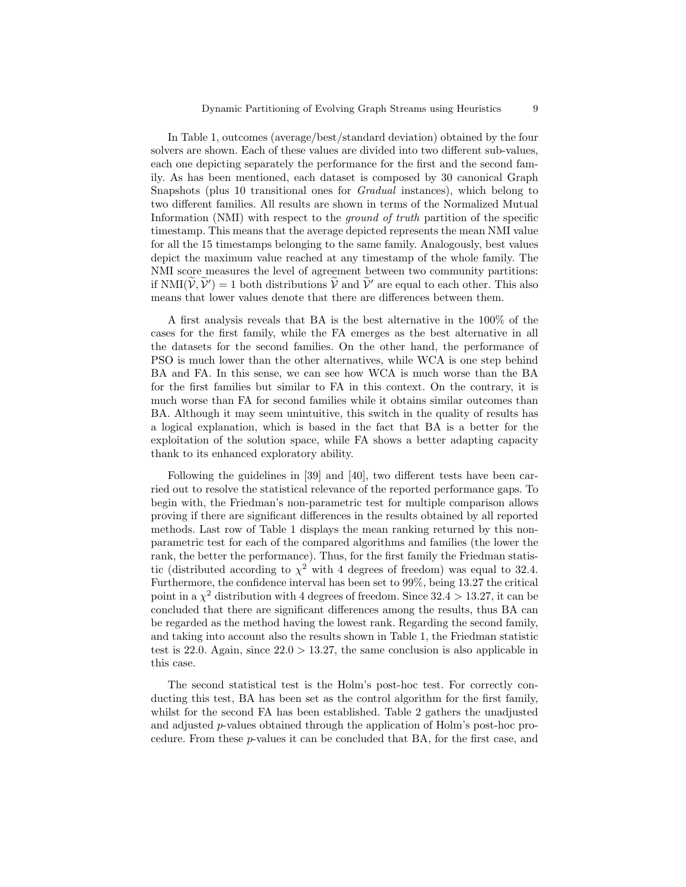In Table 1, outcomes (average/best/standard deviation) obtained by the four solvers are shown. Each of these values are divided into two different sub-values, each one depicting separately the performance for the first and the second family. As has been mentioned, each dataset is composed by 30 canonical Graph Snapshots (plus 10 transitional ones for Gradual instances), which belong to two different families. All results are shown in terms of the Normalized Mutual Information (NMI) with respect to the ground of truth partition of the specific timestamp. This means that the average depicted represents the mean NMI value for all the 15 timestamps belonging to the same family. Analogously, best values depict the maximum value reached at any timestamp of the whole family. The NMI score measures the level of agreement between two community partitions: if  $NM(\widetilde{\mathcal{V}}, \widetilde{\mathcal{V}}') = 1$  both distributions  $\widetilde{\mathcal{V}}$  and  $\widetilde{\mathcal{V}}'$  are equal to each other. This also means that lower values denote that there are differences between them.

A first analysis reveals that BA is the best alternative in the 100% of the cases for the first family, while the FA emerges as the best alternative in all the datasets for the second families. On the other hand, the performance of PSO is much lower than the other alternatives, while WCA is one step behind BA and FA. In this sense, we can see how WCA is much worse than the BA for the first families but similar to FA in this context. On the contrary, it is much worse than FA for second families while it obtains similar outcomes than BA. Although it may seem unintuitive, this switch in the quality of results has a logical explanation, which is based in the fact that BA is a better for the exploitation of the solution space, while FA shows a better adapting capacity thank to its enhanced exploratory ability.

Following the guidelines in [39] and [40], two different tests have been carried out to resolve the statistical relevance of the reported performance gaps. To begin with, the Friedman's non-parametric test for multiple comparison allows proving if there are significant differences in the results obtained by all reported methods. Last row of Table 1 displays the mean ranking returned by this nonparametric test for each of the compared algorithms and families (the lower the rank, the better the performance). Thus, for the first family the Friedman statistic (distributed according to  $\chi^2$  with 4 degrees of freedom) was equal to 32.4. Furthermore, the confidence interval has been set to 99%, being 13.27 the critical point in a  $\chi^2$  distribution with 4 degrees of freedom. Since 32.4 > 13.27, it can be concluded that there are significant differences among the results, thus BA can be regarded as the method having the lowest rank. Regarding the second family, and taking into account also the results shown in Table 1, the Friedman statistic test is 22.0. Again, since  $22.0 > 13.27$ , the same conclusion is also applicable in this case.

The second statistical test is the Holm's post-hoc test. For correctly conducting this test, BA has been set as the control algorithm for the first family, whilst for the second FA has been established. Table 2 gathers the unadjusted and adjusted p-values obtained through the application of Holm's post-hoc procedure. From these p-values it can be concluded that BA, for the first case, and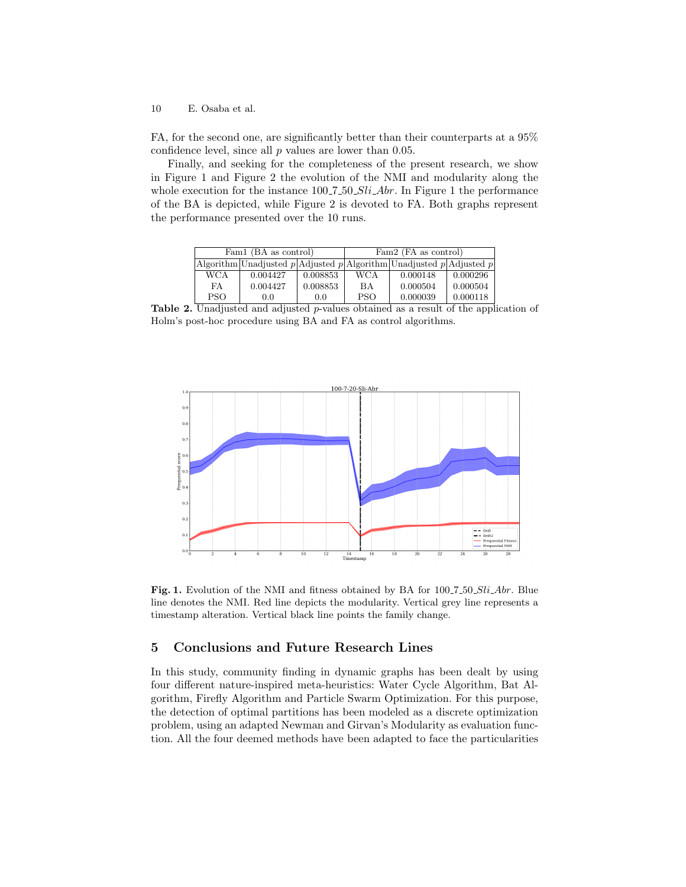FA, for the second one, are significantly better than their counterparts at a 95% confidence level, since all p values are lower than 0.05.

Finally, and seeking for the completeness of the present research, we show in Figure 1 and Figure 2 the evolution of the NMI and modularity along the whole execution for the instance  $100.7.50 \text{ } Sil$ . In Figure 1 the performance of the BA is depicted, while Figure 2 is devoted to FA. Both graphs represent the performance presented over the 10 runs.

|      | Fam1 (BA as control)                                                |          | Fam2 (FA as control) |          |          |  |  |
|------|---------------------------------------------------------------------|----------|----------------------|----------|----------|--|--|
|      | Algorithm Unadjusted p Adjusted p Algorithm Unadjusted p Adjusted p |          |                      |          |          |  |  |
| WCA  | 0.004427                                                            | 0.008853 | WCA                  | 0.000148 | 0.000296 |  |  |
| FA   | 0.004427                                                            | 0.008853 | <b>BA</b>            | 0.000504 | 0.000504 |  |  |
| PSO. | 0.0                                                                 | 0.0      | <b>PSO</b>           | 0.000039 | 0.000118 |  |  |

Table 2. Unadjusted and adjusted  $p$ -values obtained as a result of the application of Holm's post-hoc procedure using BA and FA as control algorithms.



Fig. 1. Evolution of the NMI and fitness obtained by BA for 100<sub>-7-50</sub> Sli<sub>-Abr</sub>. Blue line denotes the NMI. Red line depicts the modularity. Vertical grey line represents a timestamp alteration. Vertical black line points the family change.

## 5 Conclusions and Future Research Lines

In this study, community finding in dynamic graphs has been dealt by using four different nature-inspired meta-heuristics: Water Cycle Algorithm, Bat Algorithm, Firefly Algorithm and Particle Swarm Optimization. For this purpose, the detection of optimal partitions has been modeled as a discrete optimization problem, using an adapted Newman and Girvan's Modularity as evaluation function. All the four deemed methods have been adapted to face the particularities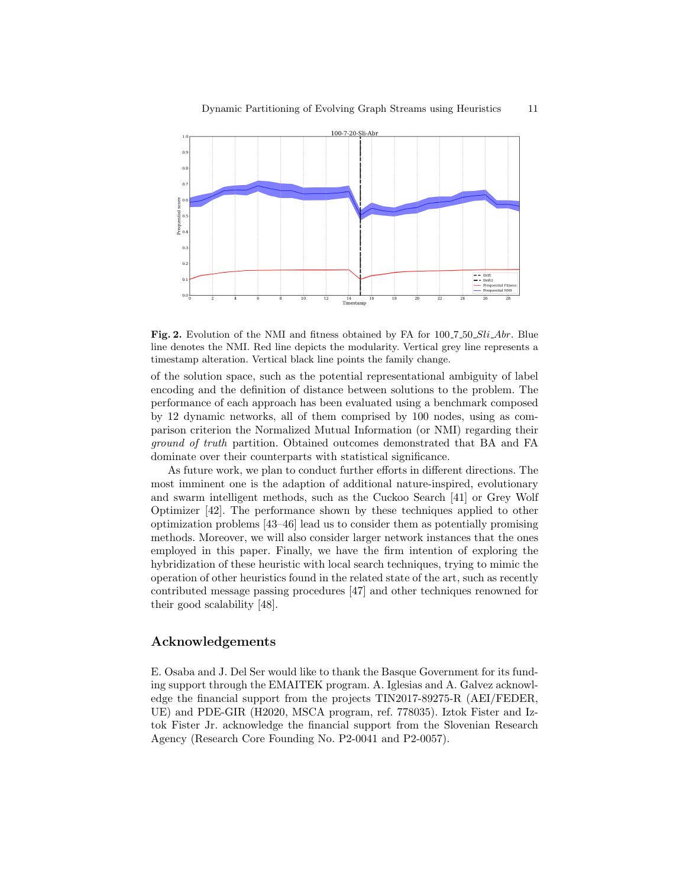

Fig. 2. Evolution of the NMI and fitness obtained by FA for 100\_7\_50\_Sli\_Abr. Blue line denotes the NMI. Red line depicts the modularity. Vertical grey line represents a timestamp alteration. Vertical black line points the family change.

of the solution space, such as the potential representational ambiguity of label encoding and the definition of distance between solutions to the problem. The performance of each approach has been evaluated using a benchmark composed by 12 dynamic networks, all of them comprised by 100 nodes, using as comparison criterion the Normalized Mutual Information (or NMI) regarding their ground of truth partition. Obtained outcomes demonstrated that BA and FA dominate over their counterparts with statistical significance.

As future work, we plan to conduct further efforts in different directions. The most imminent one is the adaption of additional nature-inspired, evolutionary and swarm intelligent methods, such as the Cuckoo Search [41] or Grey Wolf Optimizer [42]. The performance shown by these techniques applied to other optimization problems [43–46] lead us to consider them as potentially promising methods. Moreover, we will also consider larger network instances that the ones employed in this paper. Finally, we have the firm intention of exploring the hybridization of these heuristic with local search techniques, trying to mimic the operation of other heuristics found in the related state of the art, such as recently contributed message passing procedures [47] and other techniques renowned for their good scalability [48].

### Acknowledgements

E. Osaba and J. Del Ser would like to thank the Basque Government for its funding support through the EMAITEK program. A. Iglesias and A. Galvez acknowledge the financial support from the projects TIN2017-89275-R (AEI/FEDER, UE) and PDE-GIR (H2020, MSCA program, ref. 778035). Iztok Fister and Iztok Fister Jr. acknowledge the financial support from the Slovenian Research Agency (Research Core Founding No. P2-0041 and P2-0057).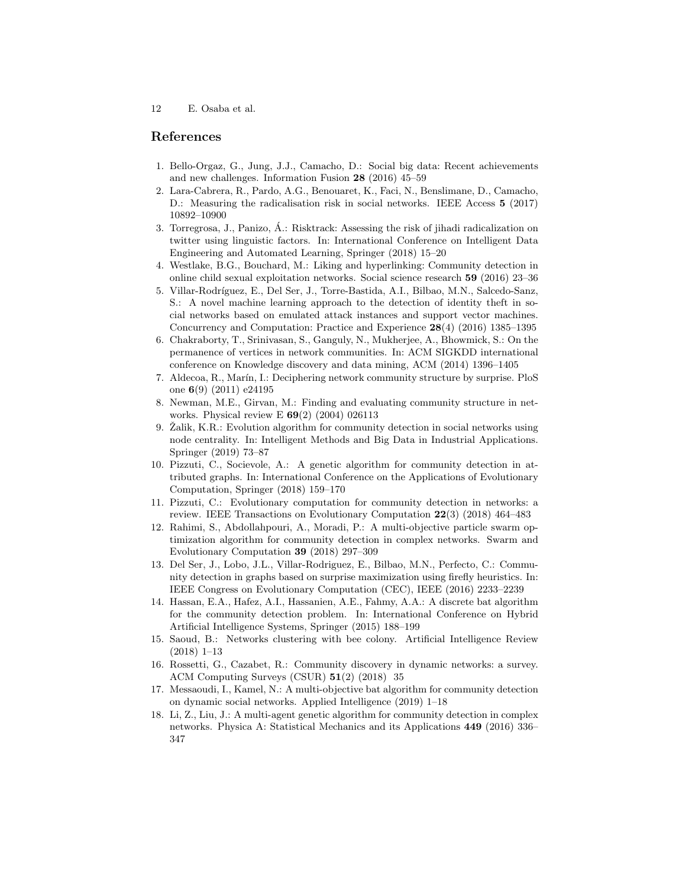#### References

- 1. Bello-Orgaz, G., Jung, J.J., Camacho, D.: Social big data: Recent achievements and new challenges. Information Fusion 28 (2016) 45–59
- 2. Lara-Cabrera, R., Pardo, A.G., Benouaret, K., Faci, N., Benslimane, D., Camacho, D.: Measuring the radicalisation risk in social networks. IEEE Access 5 (2017) 10892–10900
- 3. Torregrosa, J., Panizo, A.: Risktrack: Assessing the risk of jihadi radicalization on ´ twitter using linguistic factors. In: International Conference on Intelligent Data Engineering and Automated Learning, Springer (2018) 15–20
- 4. Westlake, B.G., Bouchard, M.: Liking and hyperlinking: Community detection in online child sexual exploitation networks. Social science research 59 (2016) 23–36
- 5. Villar-Rodríguez, E., Del Ser, J., Torre-Bastida, A.I., Bilbao, M.N., Salcedo-Sanz, S.: A novel machine learning approach to the detection of identity theft in social networks based on emulated attack instances and support vector machines. Concurrency and Computation: Practice and Experience 28(4) (2016) 1385–1395
- 6. Chakraborty, T., Srinivasan, S., Ganguly, N., Mukherjee, A., Bhowmick, S.: On the permanence of vertices in network communities. In: ACM SIGKDD international conference on Knowledge discovery and data mining, ACM (2014) 1396–1405
- 7. Aldecoa, R., Mar´ın, I.: Deciphering network community structure by surprise. PloS one 6(9) (2011) e24195
- 8. Newman, M.E., Girvan, M.: Finding and evaluating community structure in networks. Physical review E 69(2) (2004) 026113
- 9.  $\rm Zalik, K.R.:$  Evolution algorithm for community detection in social networks using node centrality. In: Intelligent Methods and Big Data in Industrial Applications. Springer (2019) 73–87
- 10. Pizzuti, C., Socievole, A.: A genetic algorithm for community detection in attributed graphs. In: International Conference on the Applications of Evolutionary Computation, Springer (2018) 159–170
- 11. Pizzuti, C.: Evolutionary computation for community detection in networks: a review. IEEE Transactions on Evolutionary Computation 22(3) (2018) 464–483
- 12. Rahimi, S., Abdollahpouri, A., Moradi, P.: A multi-objective particle swarm optimization algorithm for community detection in complex networks. Swarm and Evolutionary Computation 39 (2018) 297–309
- 13. Del Ser, J., Lobo, J.L., Villar-Rodriguez, E., Bilbao, M.N., Perfecto, C.: Community detection in graphs based on surprise maximization using firefly heuristics. In: IEEE Congress on Evolutionary Computation (CEC), IEEE (2016) 2233–2239
- 14. Hassan, E.A., Hafez, A.I., Hassanien, A.E., Fahmy, A.A.: A discrete bat algorithm for the community detection problem. In: International Conference on Hybrid Artificial Intelligence Systems, Springer (2015) 188–199
- 15. Saoud, B.: Networks clustering with bee colony. Artificial Intelligence Review (2018) 1–13
- 16. Rossetti, G., Cazabet, R.: Community discovery in dynamic networks: a survey. ACM Computing Surveys (CSUR) 51(2) (2018) 35
- 17. Messaoudi, I., Kamel, N.: A multi-objective bat algorithm for community detection on dynamic social networks. Applied Intelligence (2019) 1–18
- 18. Li, Z., Liu, J.: A multi-agent genetic algorithm for community detection in complex networks. Physica A: Statistical Mechanics and its Applications 449 (2016) 336– 347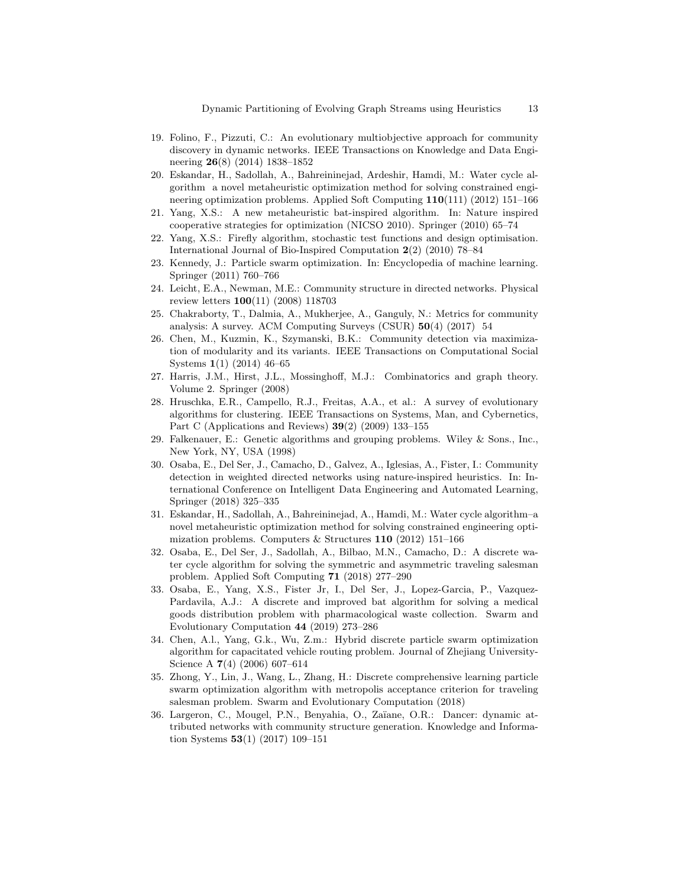- 19. Folino, F., Pizzuti, C.: An evolutionary multiobjective approach for community discovery in dynamic networks. IEEE Transactions on Knowledge and Data Engineering 26(8) (2014) 1838–1852
- 20. Eskandar, H., Sadollah, A., Bahreininejad, Ardeshir, Hamdi, M.: Water cycle algorithm a novel metaheuristic optimization method for solving constrained engineering optimization problems. Applied Soft Computing 110(111) (2012) 151–166
- 21. Yang, X.S.: A new metaheuristic bat-inspired algorithm. In: Nature inspired cooperative strategies for optimization (NICSO 2010). Springer (2010) 65–74
- 22. Yang, X.S.: Firefly algorithm, stochastic test functions and design optimisation. International Journal of Bio-Inspired Computation 2(2) (2010) 78–84
- 23. Kennedy, J.: Particle swarm optimization. In: Encyclopedia of machine learning. Springer (2011) 760–766
- 24. Leicht, E.A., Newman, M.E.: Community structure in directed networks. Physical review letters 100(11) (2008) 118703
- 25. Chakraborty, T., Dalmia, A., Mukherjee, A., Ganguly, N.: Metrics for community analysis: A survey. ACM Computing Surveys (CSUR) 50(4) (2017) 54
- 26. Chen, M., Kuzmin, K., Szymanski, B.K.: Community detection via maximization of modularity and its variants. IEEE Transactions on Computational Social Systems 1(1) (2014) 46–65
- 27. Harris, J.M., Hirst, J.L., Mossinghoff, M.J.: Combinatorics and graph theory. Volume 2. Springer (2008)
- 28. Hruschka, E.R., Campello, R.J., Freitas, A.A., et al.: A survey of evolutionary algorithms for clustering. IEEE Transactions on Systems, Man, and Cybernetics, Part C (Applications and Reviews) 39(2) (2009) 133–155
- 29. Falkenauer, E.: Genetic algorithms and grouping problems. Wiley & Sons., Inc., New York, NY, USA (1998)
- 30. Osaba, E., Del Ser, J., Camacho, D., Galvez, A., Iglesias, A., Fister, I.: Community detection in weighted directed networks using nature-inspired heuristics. In: International Conference on Intelligent Data Engineering and Automated Learning, Springer (2018) 325–335
- 31. Eskandar, H., Sadollah, A., Bahreininejad, A., Hamdi, M.: Water cycle algorithm–a novel metaheuristic optimization method for solving constrained engineering optimization problems. Computers  $&$  Structures 110 (2012) 151–166
- 32. Osaba, E., Del Ser, J., Sadollah, A., Bilbao, M.N., Camacho, D.: A discrete water cycle algorithm for solving the symmetric and asymmetric traveling salesman problem. Applied Soft Computing 71 (2018) 277–290
- 33. Osaba, E., Yang, X.S., Fister Jr, I., Del Ser, J., Lopez-Garcia, P., Vazquez-Pardavila, A.J.: A discrete and improved bat algorithm for solving a medical goods distribution problem with pharmacological waste collection. Swarm and Evolutionary Computation 44 (2019) 273–286
- 34. Chen, A.l., Yang, G.k., Wu, Z.m.: Hybrid discrete particle swarm optimization algorithm for capacitated vehicle routing problem. Journal of Zhejiang University-Science A 7(4) (2006) 607–614
- 35. Zhong, Y., Lin, J., Wang, L., Zhang, H.: Discrete comprehensive learning particle swarm optimization algorithm with metropolis acceptance criterion for traveling salesman problem. Swarm and Evolutionary Computation (2018)
- 36. Largeron, C., Mougel, P.N., Benyahia, O., Za¨ıane, O.R.: Dancer: dynamic attributed networks with community structure generation. Knowledge and Information Systems 53(1) (2017) 109–151